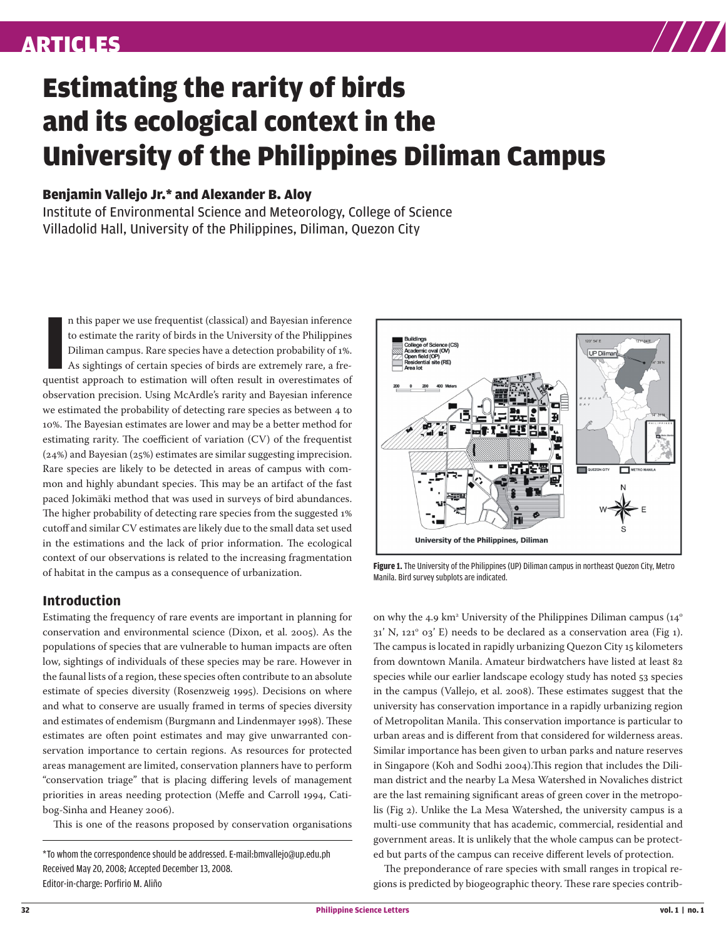

# Estimating the rarity of birds and its ecological context in the University of the Philippines Diliman Campus

### Benjamin Vallejo Jr.\* and Alexander B. Aloy

Institute of Environmental Science and Meteorology, College of Science Villadolid Hall, University of the Philippines, Diliman, Quezon City

In this paper we use frequentist (classical) and Bayesian inference to estimate the rarity of birds in the University of the Philippines Diliman campus. Rare species have a detection probability of 1%. As sightings of cert n this paper we use frequentist (classical) and Bayesian inference to estimate the rarity of birds in the University of the Philippines Diliman campus. Rare species have a detection probability of 1%. As sightings of certain species of birds are extremely rare, a freobservation precision. Using McArdle's rarity and Bayesian inference we estimated the probability of detecting rare species as between 4 to 10%. The Bayesian estimates are lower and may be a better method for estimating rarity. The coefficient of variation (CV) of the frequentist (24%) and Bayesian (25%) estimates are similar suggesting imprecision. Rare species are likely to be detected in areas of campus with common and highly abundant species. This may be an artifact of the fast paced Jokimäki method that was used in surveys of bird abundances. The higher probability of detecting rare species from the suggested 1% cutoff and similar CV estimates are likely due to the small data set used in the estimations and the lack of prior information. The ecological context of our observations is related to the increasing fragmentation of habitat in the campus as a consequence of urbanization.

#### **Introduction**

Estimating the frequency of rare events are important in planning for conservation and environmental science (Dixon, et al. 2005). As the populations of species that are vulnerable to human impacts are often low, sightings of individuals of these species may be rare. However in the faunal lists of a region, these species often contribute to an absolute estimate of species diversity (Rosenzweig 1995). Decisions on where and what to conserve are usually framed in terms of species diversity and estimates of endemism (Burgmann and Lindenmayer 1998). These estimates are often point estimates and may give unwarranted conservation importance to certain regions. As resources for protected areas management are limited, conservation planners have to perform "conservation triage" that is placing differing levels of management priorities in areas needing protection (Meffe and Carroll 1994, Catibog-Sinha and Heaney 2006).

This is one of the reasons proposed by conservation organisations

\*To whom the correspondence should be addressed. E-mail:bmvallejo@up.edu.ph Received May 20, 2008; Accepted December 13, 2008. Editor-in-charge: Porfirio M. Aliño



**Figure 1.** The University of the Philippines (UP) Diliman campus in northeast Quezon City, Metro Manila. Bird survey subplots are indicated.

on why the 4.9 km $^{\rm a}$  University of the Philippines Diliman campus (14 $^{\rm o}$  $31'$  N,  $121^\circ$  03' E) needs to be declared as a conservation area (Fig 1). The campus is located in rapidly urbanizing Quezon City 15 kilometers from downtown Manila. Amateur birdwatchers have listed at least 82 species while our earlier landscape ecology study has noted 53 species in the campus (Vallejo, et al. 2008). These estimates suggest that the university has conservation importance in a rapidly urbanizing region of Metropolitan Manila. This conservation importance is particular to urban areas and is different from that considered for wilderness areas. Similar importance has been given to urban parks and nature reserves in Singapore (Koh and Sodhi 2004).This region that includes the Diliman district and the nearby La Mesa Watershed in Novaliches district are the last remaining significant areas of green cover in the metropolis (Fig 2). Unlike the La Mesa Watershed, the university campus is a multi-use community that has academic, commercial, residential and government areas. It is unlikely that the whole campus can be protected but parts of the campus can receive different levels of protection.

The preponderance of rare species with small ranges in tropical regions is predicted by biogeographic theory. These rare species contrib-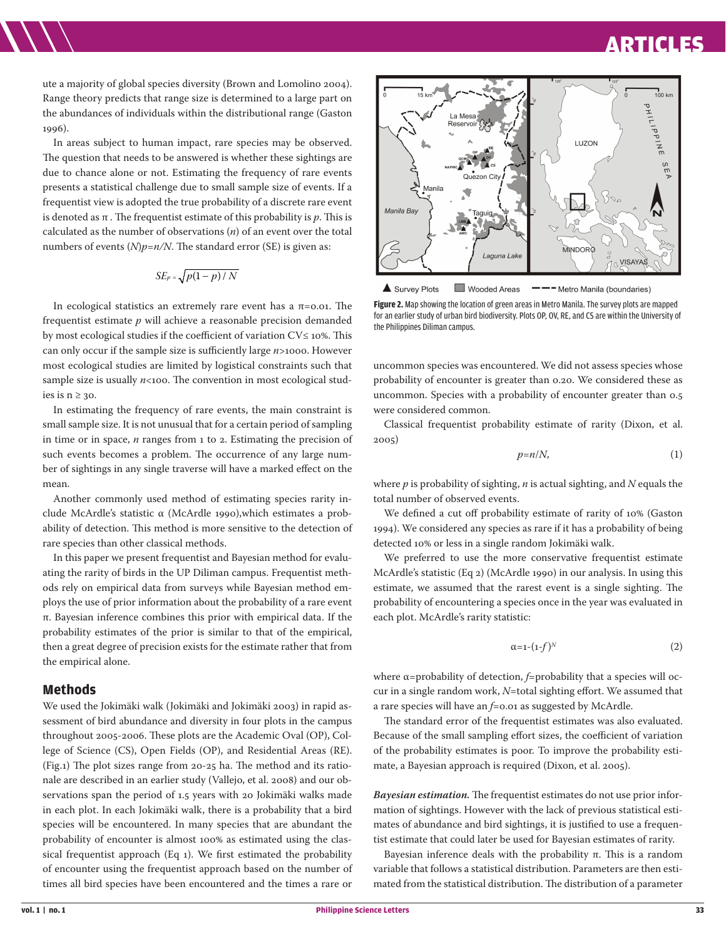### ARTICLES ARTICLES

ute a majority of global species diversity (Brown and Lomolino 2004). Range theory predicts that range size is determined to a large part on the abundances of individuals within the distributional range (Gaston  $1996$ ).

In areas subject to human impact, rare species may be observed. The question that needs to be answered is whether these sightings are due to chance alone or not. Estimating the frequency of rare events presents a statistical challenge due to small sample size of events. If a frequentist view is adopted the true probability of a discrete rare event is denoted as  $\pi$ . The frequentist estimate of this probability is  $p$ . This is calculated as the number of observations (*n*) of an event over the total numbers of events  $(N)p=n/N$ . The standard error (SE) is given as:

$$
SE_p = \sqrt{p(1-p)/N}
$$

In ecological statistics an extremely rare event has a π=0.01. The frequentist estimate *p* will achieve a reasonable precision demanded by most ecological studies if the coefficient of variation CV≤ 10%. This can only occur if the sample size is sufficiently large *n*>1000. However most ecological studies are limited by logistical constraints such that sample size is usually  $n \lt 100$ . The convention in most ecological studies is  $n \geq 30$ .

In estimating the frequency of rare events, the main constraint is small sample size. It is not unusual that for a certain period of sampling in time or in space, *n* ranges from 1 to 2. Estimating the precision of such events becomes a problem. The occurrence of any large number of sightings in any single traverse will have a marked effect on the mean.

Another commonly used method of estimating species rarity include McArdle's statistic α (McArdle 1990),which estimates a probability of detection. This method is more sensitive to the detection of rare species than other classical methods.

In this paper we present frequentist and Bayesian method for evaluating the rarity of birds in the UP Diliman campus. Frequentist methods rely on empirical data from surveys while Bayesian method employs the use of prior information about the probability of a rare event π. Bayesian inference combines this prior with empirical data. If the probability estimates of the prior is similar to that of the empirical, then a great degree of precision exists for the estimate rather that from the empirical alone.

#### **Methods**

We used the Jokimäki walk (Jokimäki and Jokimäki 2003) in rapid assessment of bird abundance and diversity in four plots in the campus throughout 2005-2006. These plots are the Academic Oval (OP), College of Science (CS), Open Fields (OP), and Residential Areas (RE). (Fig.1) The plot sizes range from 20-25 ha. The method and its rationale are described in an earlier study (Vallejo, et al. 2008) and our observations span the period of 1.5 years with 20 Jokimäki walks made in each plot. In each Jokimäki walk, there is a probability that a bird species will be encountered. In many species that are abundant the probability of encounter is almost 100% as estimated using the classical frequentist approach (Eq 1). We first estimated the probability of encounter using the frequentist approach based on the number of times all bird species have been encountered and the times a rare or



Wooded Areas Survey Plots - Metro Manila (boundaries) **Figure 2.** Map showing the location of green areas in Metro Manila. The survey plots are mapped for an earlier study of urban bird biodiversity. Plots OP, OV, RE, and CS are within the University of the Philippines Diliman campus.

uncommon species was encountered. We did not assess species whose probability of encounter is greater than 0.20. We considered these as uncommon. Species with a probability of encounter greater than 0.5 were considered common.

Classical frequentist probability estimate of rarity (Dixon, et al. 2005)

$$
p=n/N,\tag{1}
$$

where *p* is probability of sighting, *n* is actual sighting, and *N* equals the total number of observed events.

We defined a cut off probability estimate of rarity of 10% (Gaston 1994). We considered any species as rare if it has a probability of being detected 10% or less in a single random Jokimäki walk.

We preferred to use the more conservative frequentist estimate McArdle's statistic (Eq 2) (McArdle 1990) in our analysis. In using this estimate, we assumed that the rarest event is a single sighting. The probability of encountering a species once in the year was evaluated in each plot. McArdle's rarity statistic:

$$
\alpha = \mathbf{1} - (\mathbf{1} - f)^N \tag{2}
$$

where α=probability of detection, *f*=probability that a species will occur in a single random work, *N*=total sighting effort. We assumed that a rare species will have an *f*=0.01 as suggested by McArdle.

The standard error of the frequentist estimates was also evaluated. Because of the small sampling effort sizes, the coefficient of variation of the probability estimates is poor. To improve the probability estimate, a Bayesian approach is required (Dixon, et al. 2005).

*Bayesian estimation.* The frequentist estimates do not use prior information of sightings. However with the lack of previous statistical estimates of abundance and bird sightings, it is justified to use a frequentist estimate that could later be used for Bayesian estimates of rarity.

Bayesian inference deals with the probability π. This is a random variable that follows a statistical distribution. Parameters are then estimated from the statistical distribution. The distribution of a parameter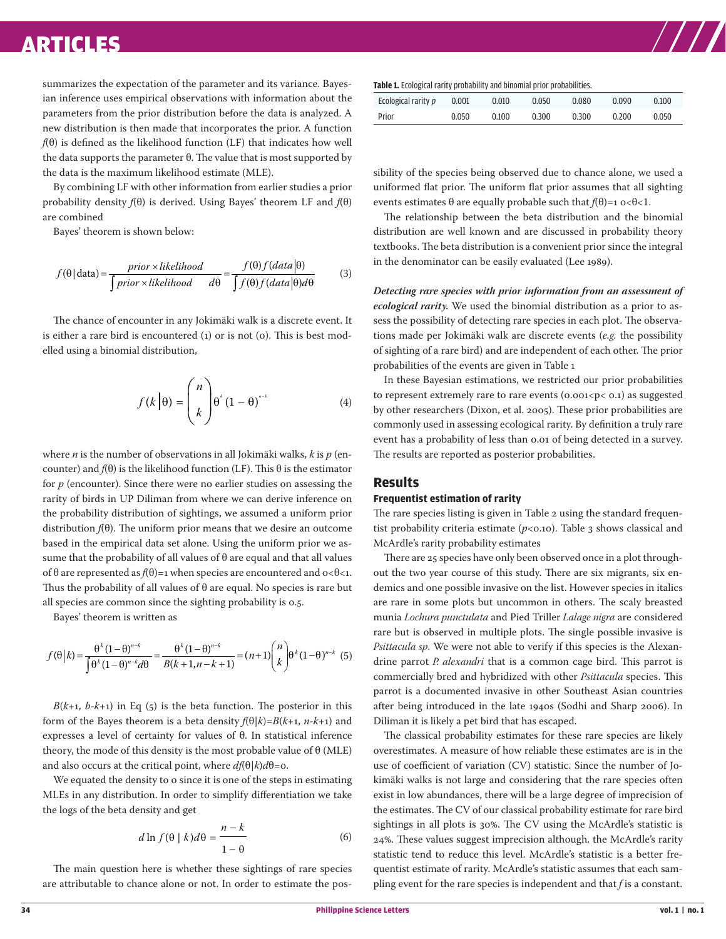### ARTICLES ARTICLES ARTICLES ARTICLES ARTICLES

summarizes the expectation of the parameter and its variance. Bayesian inference uses empirical observations with information about the parameters from the prior distribution before the data is analyzed. A new distribution is then made that incorporates the prior. A function *f*(θ) is defined as the likelihood function (LF) that indicates how well the data supports the parameter θ. The value that is most supported by the data is the maximum likelihood estimate (MLE).

By combining LF with other information from earlier studies a prior probability density *f*(θ) is derived. Using Bayes' theorem LF and *f*(θ) are combined

Bayes' theorem is shown below:

$$
f(\theta | data) = \frac{prior \times likelihood}{\int prior \times likelihood} \frac{f(\theta) f(data | \theta)}{f(\theta) f(data | \theta) d\theta}
$$
(3)

The chance of encounter in any Jokimäki walk is a discrete event. It is either a rare bird is encountered (1) or is not (0). This is best modelled using a binomial distribution,

$$
f(k|\theta) = {n \choose k} \theta^{k} (1-\theta)^{n-k}
$$
 (4)

where *n* is the number of observations in all Jokimäki walks, *k* is *p* (encounter) and  $f(θ)$  is the likelihood function (LF). This  $θ$  is the estimator for *p* (encounter). Since there were no earlier studies on assessing the rarity of birds in UP Diliman from where we can derive inference on the probability distribution of sightings, we assumed a uniform prior distribution *f*(θ). The uniform prior means that we desire an outcome based in the empirical data set alone. Using the uniform prior we assume that the probability of all values of  $\theta$  are equal and that all values of θ are represented as  $f(\theta)=1$  when species are encountered and  $o < \theta < 1$ . Thus the probability of all values of θ are equal. No species is rare but all species are common since the sighting probability is 0.5.

Bayes' theorem is written as

$$
f(\theta|k) = \frac{\theta^{k}(1-\theta)^{n-k}}{\int \theta^{k}(1-\theta)^{n-k}d\theta} = \frac{\theta^{k}(1-\theta)^{n-k}}{B(k+1,n-k+1)} = (n+1)\binom{n}{k}\theta^{k}(1-\theta)^{n-k}
$$
(5)

 $B(k+1, b-k+1)$  in Eq (5) is the beta function. The posterior in this form of the Bayes theorem is a beta density  $f(\theta|k) = B(k+1, n-k+1)$  and expresses a level of certainty for values of θ. In statistical inference theory, the mode of this density is the most probable value of  $\theta$  (MLE) and also occurs at the critical point, where  $df(\theta|k)d\theta$ =0.

We equated the density to o since it is one of the steps in estimating MLEs in any distribution. In order to simplify differentiation we take the logs of the beta density and get

$$
d \ln f(\theta \mid k) d\theta = \frac{n-k}{1-\theta} \tag{6}
$$

The main question here is whether these sightings of rare species are attributable to chance alone or not. In order to estimate the pos**Table 1.** Ecological rarity probability and binomial prior probabilities.

| Ecological rarity p | 0.001 | 0.010 | 0.050 | 0.080 | 0.090 | 0.100 |
|---------------------|-------|-------|-------|-------|-------|-------|
| Prior               | 0.050 | 0.100 | 0.300 | 0.300 | 0.200 | 0.050 |

sibility of the species being observed due to chance alone, we used a uniformed flat prior. The uniform flat prior assumes that all sighting events estimates θ are equally probable such that  $f(\theta) = 1$  o<θ<1.

The relationship between the beta distribution and the binomial distribution are well known and are discussed in probability theory textbooks. The beta distribution is a convenient prior since the integral in the denominator can be easily evaluated (Lee 1989).

*Detecting rare species with prior information from an assessment of ecological rarity.* We used the binomial distribution as a prior to assess the possibility of detecting rare species in each plot. The observations made per Jokimäki walk are discrete events (*e.g.* the possibility of sighting of a rare bird) and are independent of each other. The prior probabilities of the events are given in Table 1

In these Bayesian estimations, we restricted our prior probabilities to represent extremely rare to rare events  $(0.001 < p < 0.1)$  as suggested by other researchers (Dixon, et al. 2005). These prior probabilities are commonly used in assessing ecological rarity. By definition a truly rare event has a probability of less than 0.01 of being detected in a survey. The results are reported as posterior probabilities.

#### **Results**

#### **Frequentist estimation of rarity**

The rare species listing is given in Table 2 using the standard frequentist probability criteria estimate  $(p<0.10)$ . Table 3 shows classical and McArdle's rarity probability estimates

There are 25 species have only been observed once in a plot throughout the two year course of this study. There are six migrants, six endemics and one possible invasive on the list. However species in italics are rare in some plots but uncommon in others. The scaly breasted munia *Lochura punctulata* and Pied Triller *Lalage nigra* are considered rare but is observed in multiple plots. The single possible invasive is *Psittacula sp*. We were not able to verify if this species is the Alexandrine parrot *P. alexandri* that is a common cage bird. This parrot is commercially bred and hybridized with other *Psittacula* species. This parrot is a documented invasive in other Southeast Asian countries after being introduced in the late 1940s (Sodhi and Sharp 2006). In Diliman it is likely a pet bird that has escaped.

The classical probability estimates for these rare species are likely overestimates. A measure of how reliable these estimates are is in the use of coefficient of variation (CV) statistic. Since the number of Jokimäki walks is not large and considering that the rare species often exist in low abundances, there will be a large degree of imprecision of the estimates. The CV of our classical probability estimate for rare bird sightings in all plots is 30%. The CV using the McArdle's statistic is 24%. These values suggest imprecision although. the McArdle's rarity statistic tend to reduce this level. McArdle's statistic is a better frequentist estimate of rarity. McArdle's statistic assumes that each sampling event for the rare species is independent and that *f* is a constant.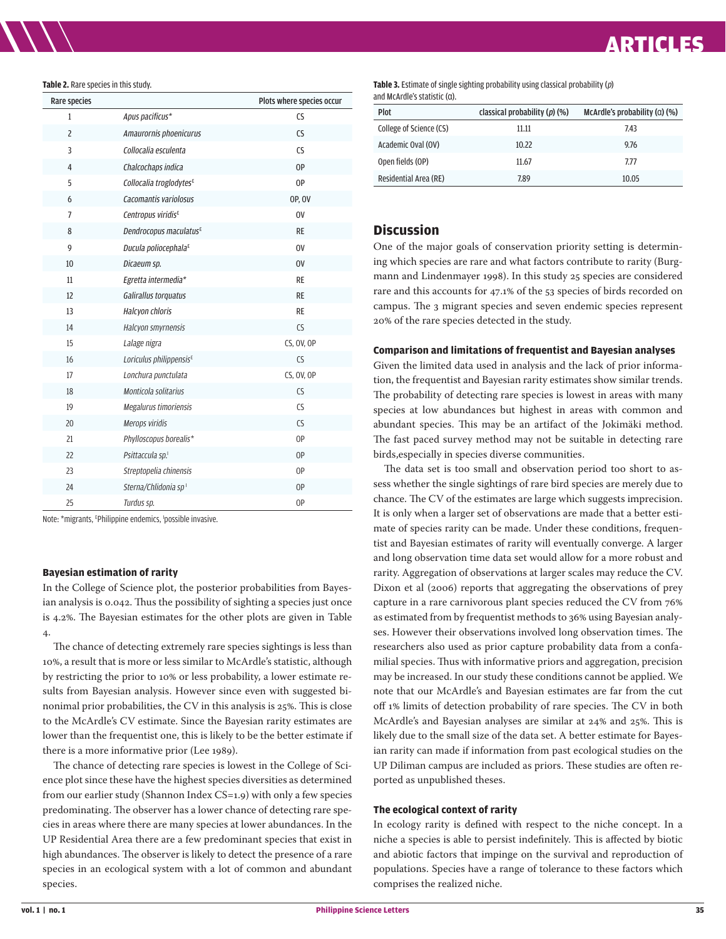#### **Table 2.** Rare species in this study.

| Rare species   |                                     | Plots where species occur |
|----------------|-------------------------------------|---------------------------|
| $\mathbf{1}$   | Apus pacificus*                     | CS                        |
| $\overline{c}$ | Amaurornis phoenicurus              | CS                        |
| 3              | Collocalia esculenta                | CS                        |
| 4              | Chalcochaps indica                  | 0P                        |
| 5              | Collocalia troglodytes <sup>E</sup> | 0P                        |
| 6              | Cacomantis variolosus               | <b>OP, OV</b>             |
| $\overline{7}$ | Centropus viridis <sup>E</sup>      | 0V                        |
| 8              | Dendrocopus maculatus <sup>E</sup>  | <b>RE</b>                 |
| 9              | Ducula poliocephala <sup>E</sup>    | <b>OV</b>                 |
| 10             | Dicaeum sp.                         | 0 <sup>V</sup>            |
| 11             | Egretta intermedia*                 | <b>RE</b>                 |
| 12             | Galirallus torquatus                | <b>RE</b>                 |
| 13             | <b>Halcyon chloris</b>              | RE                        |
| 14             | Halcyon smyrnensis                  | CS                        |
| 15             | Lalage nigra                        | CS, OV, OP                |
| 16             | Loriculus philippensis <sup>E</sup> | CS                        |
| 17             | Lonchura punctulata                 | CS, OV, OP                |
| 18             | Monticola solitarius                | CS                        |
| 19             | Megalurus timoriensis               | CS                        |
| 20             | Merops viridis                      | CS                        |
| 21             | Phylloscopus borealis*              | OP                        |
| 22             | Psittaccula sp.                     | OP                        |
| 23             | Streptopelia chinensis              | OP                        |
| 24             | Sterna/Chlidonia sp1                | OP                        |
| 25             | Turdus sp.                          | 0P                        |

Note: \*migrants, E Philippine endemics, I possible invasive.

#### **Bayesian estimation of rarity**

In the College of Science plot, the posterior probabilities from Bayesian analysis is 0.042. Thus the possibility of sighting a species just once is 4.2%. The Bayesian estimates for the other plots are given in Table 4.

The chance of detecting extremely rare species sightings is less than 10%, a result that is more or less similar to McArdle's statistic, although by restricting the prior to 10% or less probability, a lower estimate results from Bayesian analysis. However since even with suggested binonimal prior probabilities, the CV in this analysis is 25%. This is close to the McArdle's CV estimate. Since the Bayesian rarity estimates are lower than the frequentist one, this is likely to be the better estimate if there is a more informative prior (Lee 1989).

The chance of detecting rare species is lowest in the College of Science plot since these have the highest species diversities as determined from our earlier study (Shannon Index CS=1.9) with only a few species predominating. The observer has a lower chance of detecting rare species in areas where there are many species at lower abundances. In the UP Residential Area there are a few predominant species that exist in high abundances. The observer is likely to detect the presence of a rare species in an ecological system with a lot of common and abundant species.

**Table 3.** Estimate of single sighting probability using classical probability (p) and McArdle's statistic (α).

| Plot                    | classical probability $(p)$ $(\%)$ | McArdle's probability $(a)$ (%) |
|-------------------------|------------------------------------|---------------------------------|
| College of Science (CS) | 11.11                              | 7.43                            |
| Academic Oval (OV)      | 10.22                              | 9.76                            |
| Open fields (OP)        | 11.67                              | 7.77                            |
| Residential Area (RE)   | 7.89                               | 10.05                           |

#### **Discussion**

One of the major goals of conservation priority setting is determining which species are rare and what factors contribute to rarity (Burgmann and Lindenmayer 1998). In this study 25 species are considered rare and this accounts for 47.1% of the 53 species of birds recorded on campus. The 3 migrant species and seven endemic species represent 20% of the rare species detected in the study.

#### **Comparison and limitations of frequentist and Bayesian analyses**

Given the limited data used in analysis and the lack of prior information, the frequentist and Bayesian rarity estimates show similar trends. The probability of detecting rare species is lowest in areas with many species at low abundances but highest in areas with common and abundant species. This may be an artifact of the Jokimäki method. The fast paced survey method may not be suitable in detecting rare birds,especially in species diverse communities.

The data set is too small and observation period too short to assess whether the single sightings of rare bird species are merely due to chance. The CV of the estimates are large which suggests imprecision. It is only when a larger set of observations are made that a better estimate of species rarity can be made. Under these conditions, frequentist and Bayesian estimates of rarity will eventually converge. A larger and long observation time data set would allow for a more robust and rarity. Aggregation of observations at larger scales may reduce the CV. Dixon et al (2006) reports that aggregating the observations of prey capture in a rare carnivorous plant species reduced the CV from 76% as estimated from by frequentist methods to 36% using Bayesian analyses. However their observations involved long observation times. The researchers also used as prior capture probability data from a confamilial species. Thus with informative priors and aggregation, precision may be increased. In our study these conditions cannot be applied. We note that our McArdle's and Bayesian estimates are far from the cut off 1% limits of detection probability of rare species. The CV in both McArdle's and Bayesian analyses are similar at 24% and 25%. This is likely due to the small size of the data set. A better estimate for Bayesian rarity can made if information from past ecological studies on the UP Diliman campus are included as priors. These studies are often reported as unpublished theses.

#### **The ecological context of rarity**

In ecology rarity is defined with respect to the niche concept. In a niche a species is able to persist indefinitely. This is affected by biotic and abiotic factors that impinge on the survival and reproduction of populations. Species have a range of tolerance to these factors which comprises the realized niche.